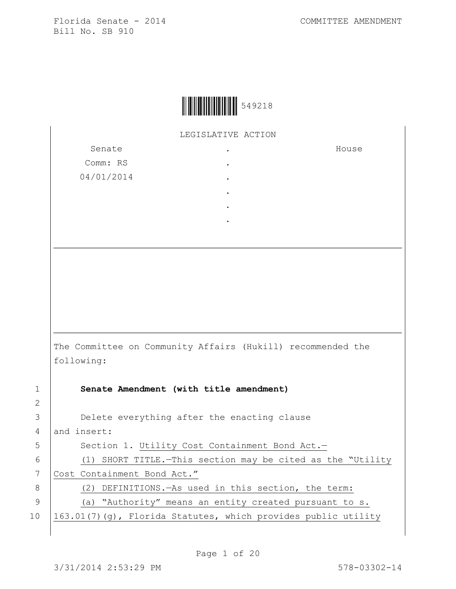House



LEGISLATIVE ACTION

.

Senate Comm: RS 04/01/2014 . . . . .

The Committee on Community Affairs (Hukill) recommended the following:

2

1 **Senate Amendment (with title amendment)** 3 Delete everything after the enacting clause 4 and insert: 5 | Section 1. Utility Cost Containment Bond Act.-6 (1) SHORT TITLE.—This section may be cited as the "Utility 7 Cost Containment Bond Act." 8 (2) DEFINITIONS.—As used in this section, the term: 9 (a) "Authority" means an entity created pursuant to s. 10  $\left| \frac{163.01(7)}{g} \right|$ , Florida Statutes, which provides public utility

Page 1 of 20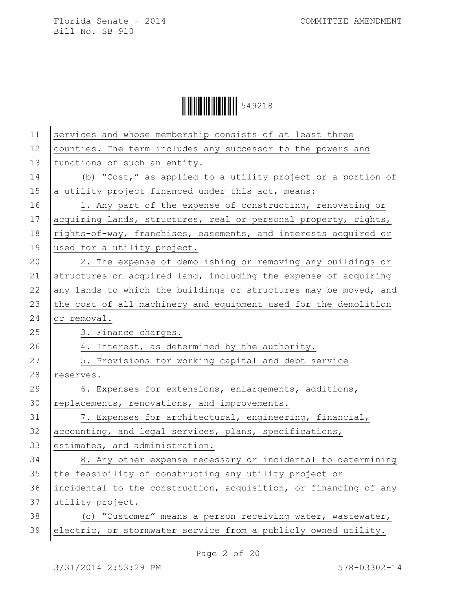| 11 | services and whose membership consists of at least three         |
|----|------------------------------------------------------------------|
| 12 | counties. The term includes any successor to the powers and      |
| 13 | functions of such an entity.                                     |
| 14 | (b) "Cost," as applied to a utility project or a portion of      |
| 15 | a utility project financed under this act, means:                |
| 16 | 1. Any part of the expense of constructing, renovating or        |
| 17 | acquiring lands, structures, real or personal property, rights,  |
| 18 | rights-of-way, franchises, easements, and interests acquired or  |
| 19 | used for a utility project.                                      |
| 20 | 2. The expense of demolishing or removing any buildings or       |
| 21 | structures on acquired land, including the expense of acquiring  |
| 22 | any lands to which the buildings or structures may be moved, and |
| 23 | the cost of all machinery and equipment used for the demolition  |
| 24 | or removal.                                                      |
| 25 | 3. Finance charges.                                              |
|    |                                                                  |
| 26 | 4. Interest, as determined by the authority.                     |
| 27 | 5. Provisions for working capital and debt service               |
| 28 | reserves.                                                        |
| 29 | 6. Expenses for extensions, enlargements, additions,             |
| 30 | replacements, renovations, and improvements.                     |
| 31 | 7. Expenses for architectural, engineering, financial,           |
| 32 | accounting, and legal services, plans, specifications,           |
| 33 | estimates, and administration.                                   |
| 34 | 8. Any other expense necessary or incidental to determining      |
| 35 | the feasibility of constructing any utility project or           |
| 36 | incidental to the construction, acquisition, or financing of any |
| 37 | utility project.                                                 |
| 38 | (c) "Customer" means a person receiving water, wastewater,       |
| 39 | electric, or stormwater service from a publicly owned utility.   |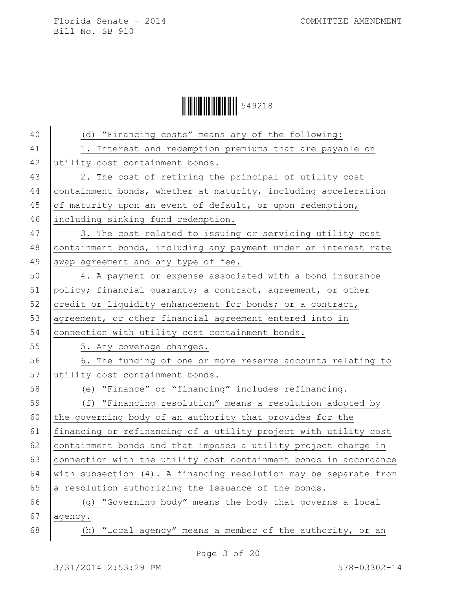Ì549218:Î549218

| 40 | (d) "Financing costs" means any of the following:                |
|----|------------------------------------------------------------------|
| 41 | 1. Interest and redemption premiums that are payable on          |
| 42 | utility cost containment bonds.                                  |
| 43 | 2. The cost of retiring the principal of utility cost            |
| 44 | containment bonds, whether at maturity, including acceleration   |
| 45 | of maturity upon an event of default, or upon redemption,        |
| 46 | including sinking fund redemption.                               |
| 47 | 3. The cost related to issuing or servicing utility cost         |
| 48 | containment bonds, including any payment under an interest rate  |
| 49 | swap agreement and any type of fee.                              |
| 50 | 4. A payment or expense associated with a bond insurance         |
| 51 | policy; financial guaranty; a contract, agreement, or other      |
| 52 | credit or liquidity enhancement for bonds; or a contract,        |
| 53 | agreement, or other financial agreement entered into in          |
| 54 | connection with utility cost containment bonds.                  |
| 55 | 5. Any coverage charges.                                         |
| 56 | 6. The funding of one or more reserve accounts relating to       |
| 57 | utility cost containment bonds.                                  |
| 58 | (e) "Finance" or "financing" includes refinancing.               |
| 59 | (f) "Financing resolution" means a resolution adopted by         |
| 60 | the governing body of an authority that provides for the         |
| 61 | financing or refinancing of a utility project with utility cost  |
| 62 | containment bonds and that imposes a utility project charge in   |
| 63 | connection with the utility cost containment bonds in accordance |
| 64 | with subsection (4). A financing resolution may be separate from |
| 65 | a resolution authorizing the issuance of the bonds.              |
| 66 | "Governing body" means the body that governs a local<br>(q)      |
| 67 | agency.                                                          |
| 68 | "Local agency" means a member of the authority, or an<br>(h)     |
|    |                                                                  |

Page 3 of 20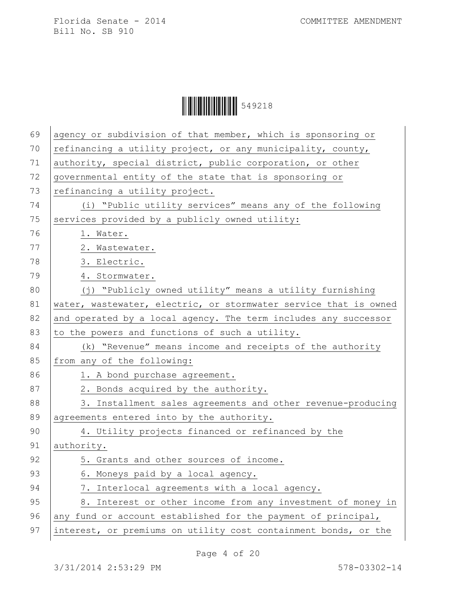| $\begin{array}{ c c c c c }\hline \multicolumn{1}{ c }{\textbf{1}} & \multicolumn{1}{ c }{\textbf{1}} & \multicolumn{1}{ c }{\textbf{1}} & \multicolumn{1}{ c }{\textbf{1}} & \multicolumn{1}{ c }{\textbf{1}} & \multicolumn{1}{ c }{\textbf{1}} & \multicolumn{1}{ c }{\textbf{1}} & \multicolumn{1}{ c }{\textbf{1}} & \multicolumn{1}{ c }{\textbf{1}} & \multicolumn{1}{ c }{\textbf{1}} & \multicolumn{1}{ c }{\textbf{1}} & \multic$ |  |
|---------------------------------------------------------------------------------------------------------------------------------------------------------------------------------------------------------------------------------------------------------------------------------------------------------------------------------------------------------------------------------------------------------------------------------------------|--|
|---------------------------------------------------------------------------------------------------------------------------------------------------------------------------------------------------------------------------------------------------------------------------------------------------------------------------------------------------------------------------------------------------------------------------------------------|--|

| 69 | agency or subdivision of that member, which is sponsoring or     |
|----|------------------------------------------------------------------|
| 70 | refinancing a utility project, or any municipality, county,      |
| 71 | authority, special district, public corporation, or other        |
| 72 | governmental entity of the state that is sponsoring or           |
| 73 | refinancing a utility project.                                   |
| 74 | (i) "Public utility services" means any of the following         |
| 75 | services provided by a publicly owned utility:                   |
| 76 | 1. Water.                                                        |
| 77 | 2. Wastewater.                                                   |
| 78 | 3. Electric.                                                     |
| 79 | 4. Stormwater.                                                   |
| 80 | (j) "Publicly owned utility" means a utility furnishing          |
| 81 | water, wastewater, electric, or stormwater service that is owned |
| 82 | and operated by a local agency. The term includes any successor  |
| 83 | to the powers and functions of such a utility.                   |
| 84 | (k) "Revenue" means income and receipts of the authority         |
| 85 | from any of the following:                                       |
| 86 | 1. A bond purchase agreement.                                    |
| 87 | 2. Bonds acquired by the authority.                              |
| 88 | 3. Installment sales agreements and other revenue-producing      |
| 89 | agreements entered into by the authority.                        |
| 90 | 4. Utility projects financed or refinanced by the                |
| 91 | authority.                                                       |
| 92 | 5. Grants and other sources of income.                           |
| 93 | 6. Moneys paid by a local agency.                                |
| 94 | 7. Interlocal agreements with a local agency.                    |
| 95 | 8. Interest or other income from any investment of money in      |
| 96 | any fund or account established for the payment of principal,    |
| 97 | interest, or premiums on utility cost containment bonds, or the  |
|    |                                                                  |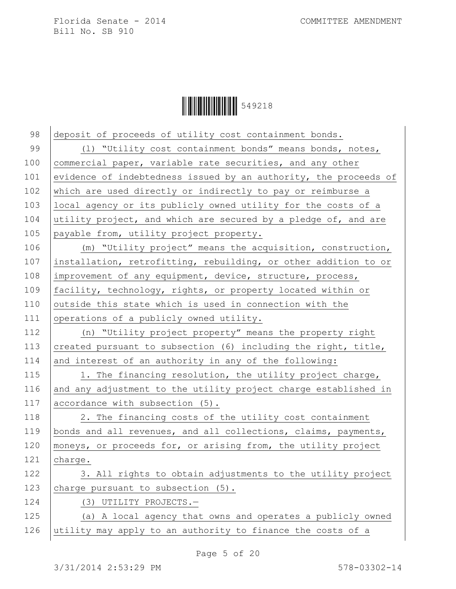| 98  | deposit of proceeds of utility cost containment bonds.           |
|-----|------------------------------------------------------------------|
| 99  | (1) "Utility cost containment bonds" means bonds, notes,         |
| 100 | commercial paper, variable rate securities, and any other        |
| 101 | evidence of indebtedness issued by an authority, the proceeds of |
| 102 | which are used directly or indirectly to pay or reimburse a      |
| 103 | local agency or its publicly owned utility for the costs of a    |
| 104 | utility project, and which are secured by a pledge of, and are   |
| 105 | payable from, utility project property.                          |
| 106 | (m) "Utility project" means the acquisition, construction,       |
| 107 | installation, retrofitting, rebuilding, or other addition to or  |
| 108 | improvement of any equipment, device, structure, process,        |
| 109 | facility, technology, rights, or property located within or      |
| 110 | outside this state which is used in connection with the          |
| 111 | operations of a publicly owned utility.                          |
| 112 | (n) "Utility project property" means the property right          |
| 113 | created pursuant to subsection (6) including the right, title,   |
| 114 | and interest of an authority in any of the following:            |
| 115 | 1. The financing resolution, the utility project charge,         |
| 116 | and any adjustment to the utility project charge established in  |
| 117 | accordance with subsection (5).                                  |
| 118 | 2. The financing costs of the utility cost containment           |
| 119 | bonds and all revenues, and all collections, claims, payments,   |
| 120 | moneys, or proceeds for, or arising from, the utility project    |
| 121 | charge.                                                          |
| 122 | 3. All rights to obtain adjustments to the utility project       |
| 123 | charge pursuant to subsection (5).                               |
| 124 | (3) UTILITY PROJECTS.-                                           |
| 125 | (a) A local agency that owns and operates a publicly owned       |
| 126 | utility may apply to an authority to finance the costs of a      |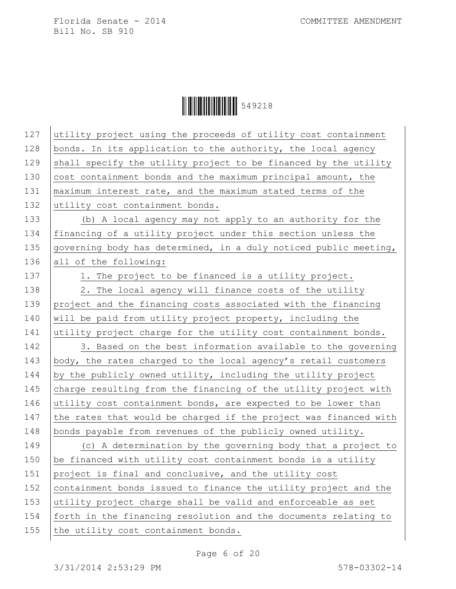Ì549218:Î549218

| 127 | utility project using the proceeds of utility cost containment   |
|-----|------------------------------------------------------------------|
| 128 | bonds. In its application to the authority, the local agency     |
| 129 | shall specify the utility project to be financed by the utility  |
| 130 | cost containment bonds and the maximum principal amount, the     |
| 131 | maximum interest rate, and the maximum stated terms of the       |
| 132 | utility cost containment bonds.                                  |
| 133 | (b) A local agency may not apply to an authority for the         |
| 134 | financing of a utility project under this section unless the     |
| 135 | governing body has determined, in a duly noticed public meeting, |
| 136 | all of the following:                                            |
| 137 | 1. The project to be financed is a utility project.              |
| 138 | 2. The local agency will finance costs of the utility            |
| 139 | project and the financing costs associated with the financing    |
| 140 | will be paid from utility project property, including the        |
| 141 | utility project charge for the utility cost containment bonds.   |
| 142 | 3. Based on the best information available to the governing      |
| 143 | body, the rates charged to the local agency's retail customers   |
| 144 | by the publicly owned utility, including the utility project     |
| 145 | charge resulting from the financing of the utility project with  |
| 146 | utility cost containment bonds, are expected to be lower than    |
| 147 | the rates that would be charged if the project was financed with |
| 148 | bonds payable from revenues of the publicly owned utility.       |
| 149 | (c) A determination by the governing body that a project to      |
| 150 | be financed with utility cost containment bonds is a utility     |
| 151 | project is final and conclusive, and the utility cost            |
| 152 | containment bonds issued to finance the utility project and the  |
| 153 | utility project charge shall be valid and enforceable as set     |
| 154 | forth in the financing resolution and the documents relating to  |
| 155 | the utility cost containment bonds.                              |
|     |                                                                  |

Page 6 of 20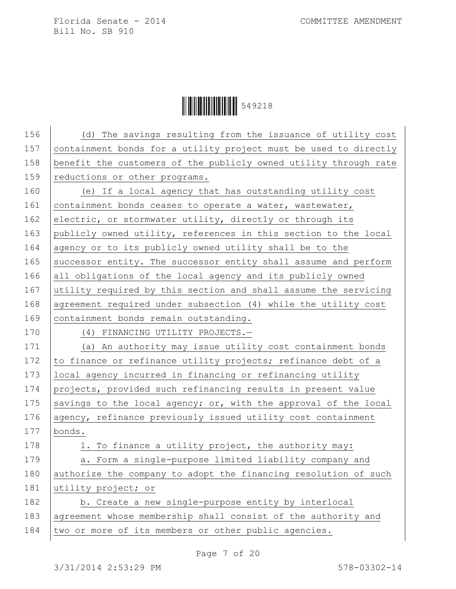| 156 | (d) The savings resulting from the issuance of utility cost      |
|-----|------------------------------------------------------------------|
| 157 | containment bonds for a utility project must be used to directly |
| 158 | benefit the customers of the publicly owned utility through rate |
| 159 | reductions or other programs.                                    |
| 160 | (e) If a local agency that has outstanding utility cost          |
| 161 | containment bonds ceases to operate a water, wastewater,         |
| 162 | electric, or stormwater utility, directly or through its         |
| 163 | publicly owned utility, references in this section to the local  |
| 164 | agency or to its publicly owned utility shall be to the          |
| 165 | successor entity. The successor entity shall assume and perform  |
| 166 | all obligations of the local agency and its publicly owned       |
| 167 | utility required by this section and shall assume the servicing  |
| 168 | agreement required under subsection (4) while the utility cost   |
| 169 | containment bonds remain outstanding.                            |
| 170 | (4) FINANCING UTILITY PROJECTS.-                                 |
| 171 | (a) An authority may issue utility cost containment bonds        |
| 172 | to finance or refinance utility projects; refinance debt of a    |
| 173 | local agency incurred in financing or refinancing utility        |
| 174 | projects, provided such refinancing results in present value     |
| 175 | savings to the local agency; or, with the approval of the local  |
| 176 | agency, refinance previously issued utility cost containment     |
| 177 | bonds.                                                           |
| 178 | 1. To finance a utility project, the authority may:              |
| 179 | a. Form a single-purpose limited liability company and           |
| 180 | authorize the company to adopt the financing resolution of such  |
| 181 | utility project; or                                              |
| 182 | b. Create a new single-purpose entity by interlocal              |
| 183 | agreement whose membership shall consist of the authority and    |
| 184 | two or more of its members or other public agencies.             |
|     |                                                                  |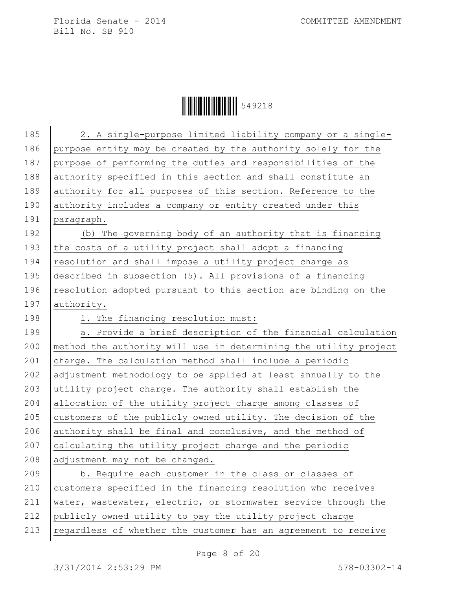| 185 | 2. A single-purpose limited liability company or a single-       |
|-----|------------------------------------------------------------------|
| 186 | purpose entity may be created by the authority solely for the    |
| 187 | purpose of performing the duties and responsibilities of the     |
| 188 | authority specified in this section and shall constitute an      |
| 189 | authority for all purposes of this section. Reference to the     |
| 190 | authority includes a company or entity created under this        |
| 191 | paragraph.                                                       |
| 192 | (b) The governing body of an authority that is financing         |
| 193 | the costs of a utility project shall adopt a financing           |
| 194 | resolution and shall impose a utility project charge as          |
| 195 | described in subsection (5). All provisions of a financing       |
| 196 | resolution adopted pursuant to this section are binding on the   |
| 197 | authority.                                                       |
| 198 | 1. The financing resolution must:                                |
| 199 | a. Provide a brief description of the financial calculation      |
| 200 | method the authority will use in determining the utility project |
| 201 | charge. The calculation method shall include a periodic          |
| 202 | adjustment methodology to be applied at least annually to the    |
| 203 | utility project charge. The authority shall establish the        |
| 204 | allocation of the utility project charge among classes of        |
| 205 | customers of the publicly owned utility. The decision of the     |
| 206 | authority shall be final and conclusive, and the method of       |
| 207 | calculating the utility project charge and the periodic          |
| 208 | adjustment may not be changed.                                   |
| 209 | b. Require each customer in the class or classes of              |
| 210 | customers specified in the financing resolution who receives     |
| 211 | water, wastewater, electric, or stormwater service through the   |
| 212 | publicly owned utility to pay the utility project charge         |
| 213 | regardless of whether the customer has an agreement to receive   |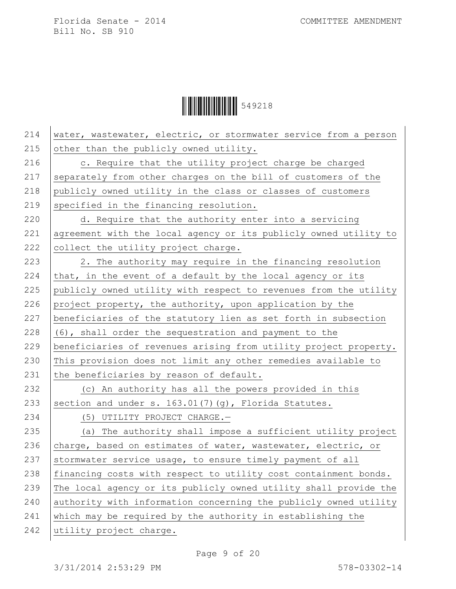

| 214 | water, wastewater, electric, or stormwater service from a person |
|-----|------------------------------------------------------------------|
| 215 | other than the publicly owned utility.                           |
| 216 | c. Require that the utility project charge be charged            |
| 217 | separately from other charges on the bill of customers of the    |
| 218 | publicly owned utility in the class or classes of customers      |
| 219 | specified in the financing resolution.                           |
| 220 | d. Require that the authority enter into a servicing             |
| 221 | agreement with the local agency or its publicly owned utility to |
| 222 | collect the utility project charge.                              |
| 223 | 2. The authority may require in the financing resolution         |
| 224 | that, in the event of a default by the local agency or its       |
| 225 | publicly owned utility with respect to revenues from the utility |
| 226 | project property, the authority, upon application by the         |
| 227 | beneficiaries of the statutory lien as set forth in subsection   |
| 228 | (6), shall order the sequestration and payment to the            |
| 229 | beneficiaries of revenues arising from utility project property. |
| 230 | This provision does not limit any other remedies available to    |
| 231 | the beneficiaries by reason of default.                          |
| 232 | (c) An authority has all the powers provided in this             |
| 233 | section and under s. 163.01(7)(g), Florida Statutes.             |
| 234 | (5) UTILITY PROJECT CHARGE.-                                     |
| 235 | (a) The authority shall impose a sufficient utility project      |
| 236 | charge, based on estimates of water, wastewater, electric, or    |
| 237 | stormwater service usage, to ensure timely payment of all        |
| 238 | financing costs with respect to utility cost containment bonds.  |
| 239 | The local agency or its publicly owned utility shall provide the |
| 240 | authority with information concerning the publicly owned utility |
| 241 | which may be required by the authority in establishing the       |
| 242 | utility project charge.                                          |
|     |                                                                  |

Page 9 of 20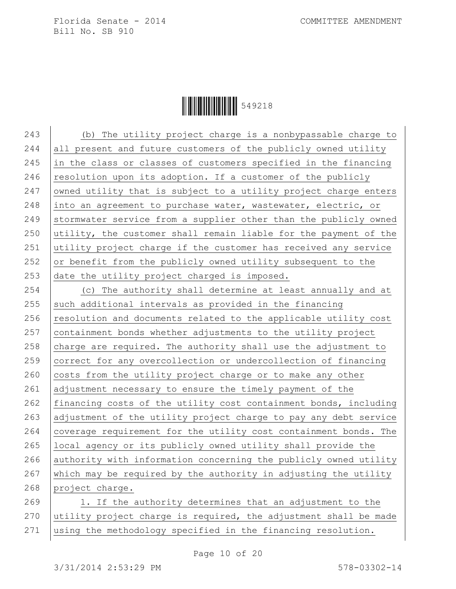**ÖHELLE III. 199218** 

243 (b) The utility project charge is a nonbypassable charge to 244 all present and future customers of the publicly owned utility 245 in the class or classes of customers specified in the financing 246 resolution upon its adoption. If a customer of the publicly 247 | owned utility that is subject to a utility project charge enters 248 into an agreement to purchase water, wastewater, electric, or 249 Stormwater service from a supplier other than the publicly owned 250 utility, the customer shall remain liable for the payment of the 251 utility project charge if the customer has received any service 252 or benefit from the publicly owned utility subsequent to the 253 date the utility project charged is imposed. 254 (c) The authority shall determine at least annually and at 255 such additional intervals as provided in the financing  $256$  resolution and documents related to the applicable utility cost  $257$  containment bonds whether adjustments to the utility project 258 charge are required. The authority shall use the adjustment to 259 correct for any overcollection or undercollection of financing  $260$  costs from the utility project charge or to make any other 261 adjustment necessary to ensure the timely payment of the 262 financing costs of the utility cost containment bonds, including 263 adjustment of the utility project charge to pay any debt service

264 coverage requirement for the utility cost containment bonds. The 265 local agency or its publicly owned utility shall provide the

266 authority with information concerning the publicly owned utility  $267$  which may be required by the authority in adjusting the utility 268 project charge. 269 1. If the authority determines that an adjustment to the  $270$  utility project charge is required, the adjustment shall be made

271 using the methodology specified in the financing resolution.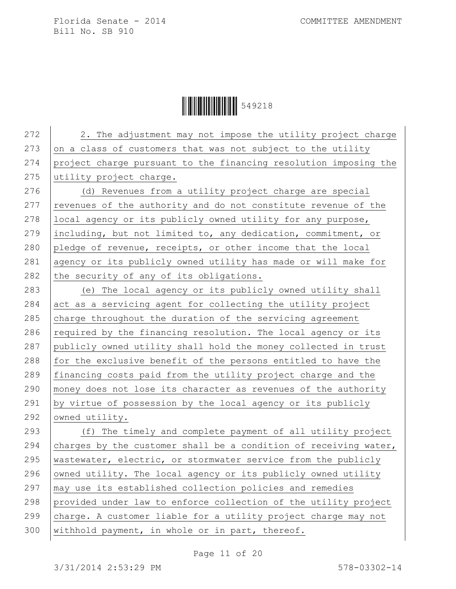Ì549218:Î549218

272 | 2. The adjustment may not impose the utility project charge 273 on a class of customers that was not subject to the utility 274 project charge pursuant to the financing resolution imposing the 275 utility project charge. 276 (d) Revenues from a utility project charge are special  $277$  revenues of the authority and do not constitute revenue of the 278 | local agency or its publicly owned utility for any purpose, 279 including, but not limited to, any dedication, commitment, or 280 pledge of revenue, receipts, or other income that the local 281 agency or its publicly owned utility has made or will make for 282 the security of any of its obligations. 283 (e) The local agency or its publicly owned utility shall  $284$  act as a servicing agent for collecting the utility project 285  $\vert$  charge throughout the duration of the servicing agreement 286  $\vert$  required by the financing resolution. The local agency or its 287 publicly owned utility shall hold the money collected in trust 288 for the exclusive benefit of the persons entitled to have the 289 financing costs paid from the utility project charge and the 290 money does not lose its character as revenues of the authority 291 by virtue of possession by the local agency or its publicly 292 owned utility. 293 (f) The timely and complete payment of all utility project 294 charges by the customer shall be a condition of receiving water, 295 wastewater, electric, or stormwater service from the publicly 296 owned utility. The local agency or its publicly owned utility  $297$   $\mid$  may use its established collection policies and remedies 298 provided under law to enforce collection of the utility project 299  $|$  charge. A customer liable for a utility project charge may not 300 withhold payment, in whole or in part, thereof.

Page 11 of 20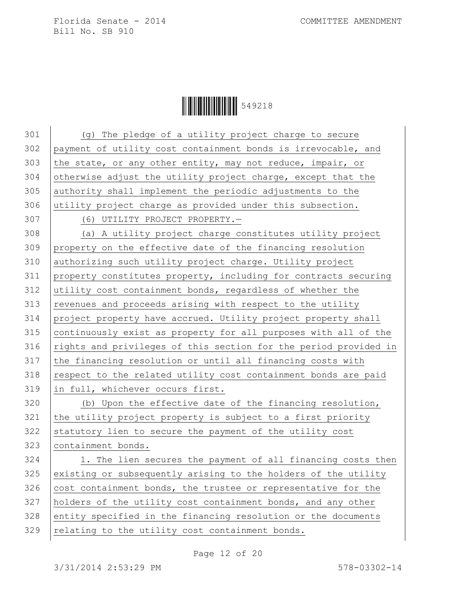**ÖHELLE 549218** 

 (g) The pledge of a utility project charge to secure payment of utility cost containment bonds is irrevocable, and 303 the state, or any other entity, may not reduce, impair, or otherwise adjust the utility project charge, except that the authority shall implement the periodic adjustments to the utility project charge as provided under this subsection. (6) UTILITY PROJECT PROPERTY.— (a) A utility project charge constitutes utility project property on the effective date of the financing resolution authorizing such utility project charge. Utility project property constitutes property, including for contracts securing utility cost containment bonds, regardless of whether the revenues and proceeds arising with respect to the utility project property have accrued. Utility project property shall 315 continuously exist as property for all purposes with all of the 316 rights and privileges of this section for the period provided in 317 the financing resolution or until all financing costs with respect to the related utility cost containment bonds are paid in full, whichever occurs first. 320 (b) Upon the effective date of the financing resolution, the utility project property is subject to a first priority statutory lien to secure the payment of the utility cost containment bonds. 324 1. The lien secures the payment of all financing costs then existing or subsequently arising to the holders of the utility cost containment bonds, the trustee or representative for the holders of the utility cost containment bonds, and any other 328 entity specified in the financing resolution or the documents relating to the utility cost containment bonds.

Page 12 of 20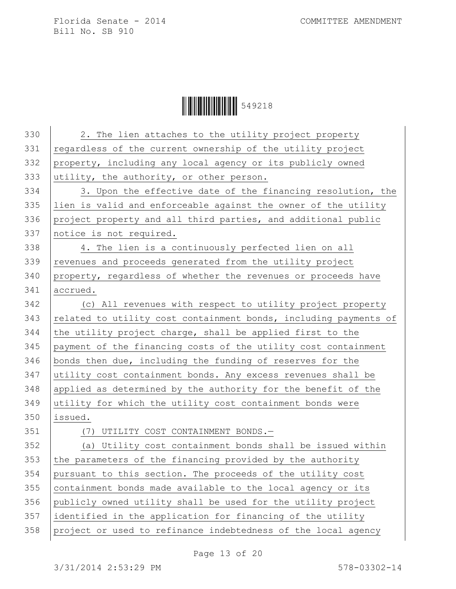Ì549218:Î549218

| 330 | 2. The lien attaches to the utility project property             |
|-----|------------------------------------------------------------------|
| 331 | regardless of the current ownership of the utility project       |
| 332 | property, including any local agency or its publicly owned       |
| 333 | utility, the authority, or other person.                         |
| 334 | 3. Upon the effective date of the financing resolution, the      |
| 335 | lien is valid and enforceable against the owner of the utility   |
| 336 | project property and all third parties, and additional public    |
| 337 | notice is not required.                                          |
| 338 | 4. The lien is a continuously perfected lien on all              |
| 339 | revenues and proceeds generated from the utility project         |
| 340 | property, regardless of whether the revenues or proceeds have    |
| 341 | accrued.                                                         |
| 342 | (c) All revenues with respect to utility project property        |
| 343 | related to utility cost containment bonds, including payments of |
| 344 | the utility project charge, shall be applied first to the        |
| 345 | payment of the financing costs of the utility cost containment   |
| 346 | bonds then due, including the funding of reserves for the        |
| 347 | utility cost containment bonds. Any excess revenues shall be     |
| 348 | applied as determined by the authority for the benefit of the    |
| 349 | utility for which the utility cost containment bonds were        |
| 350 | issued.                                                          |
| 351 | (7) UTILITY COST CONTAINMENT BONDS.-                             |
| 352 | (a) Utility cost containment bonds shall be issued within        |
| 353 | the parameters of the financing provided by the authority        |
| 354 | pursuant to this section. The proceeds of the utility cost       |
| 355 | containment bonds made available to the local agency or its      |
| 356 | publicly owned utility shall be used for the utility project     |
| 357 | identified in the application for financing of the utility       |
| 358 | project or used to refinance indebtedness of the local agency    |
|     |                                                                  |

Page 13 of 20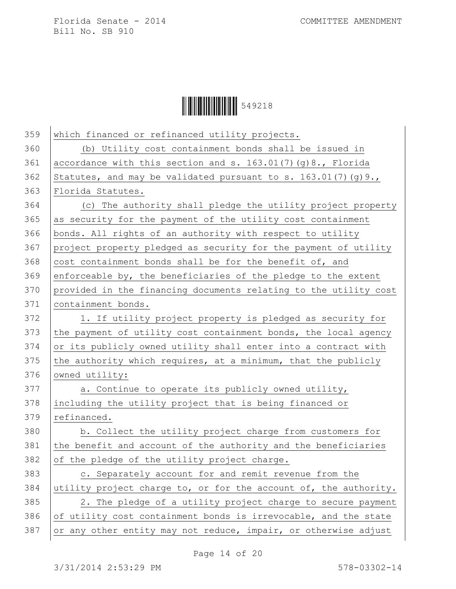

| 359 | which financed or refinanced utility projects.                   |
|-----|------------------------------------------------------------------|
| 360 | (b) Utility cost containment bonds shall be issued in            |
| 361 | accordance with this section and s. 163.01(7)(g)8., Florida      |
| 362 | Statutes, and may be validated pursuant to s. $163.01(7)(g)9.$ , |
| 363 | Florida Statutes.                                                |
| 364 | (c) The authority shall pledge the utility project property      |
| 365 | as security for the payment of the utility cost containment      |
| 366 | bonds. All rights of an authority with respect to utility        |
| 367 | project property pledged as security for the payment of utility  |
| 368 | cost containment bonds shall be for the benefit of, and          |
| 369 | enforceable by, the beneficiaries of the pledge to the extent    |
| 370 | provided in the financing documents relating to the utility cost |
| 371 | containment bonds.                                               |
| 372 | 1. If utility project property is pledged as security for        |
| 373 | the payment of utility cost containment bonds, the local agency  |
| 374 | or its publicly owned utility shall enter into a contract with   |
| 375 | the authority which requires, at a minimum, that the publicly    |
| 376 | owned utility:                                                   |
| 377 | a. Continue to operate its publicly owned utility,               |
| 378 | including the utility project that is being financed or          |
| 379 | refinanced.                                                      |
| 380 | b. Collect the utility project charge from customers for         |
| 381 | the benefit and account of the authority and the beneficiaries   |
| 382 | of the pledge of the utility project charge.                     |
| 383 | c. Separately account for and remit revenue from the             |
| 384 | utility project charge to, or for the account of, the authority. |
| 385 | 2. The pledge of a utility project charge to secure payment      |
| 386 | of utility cost containment bonds is irrevocable, and the state  |
| 387 | or any other entity may not reduce, impair, or otherwise adjust  |

Page 14 of 20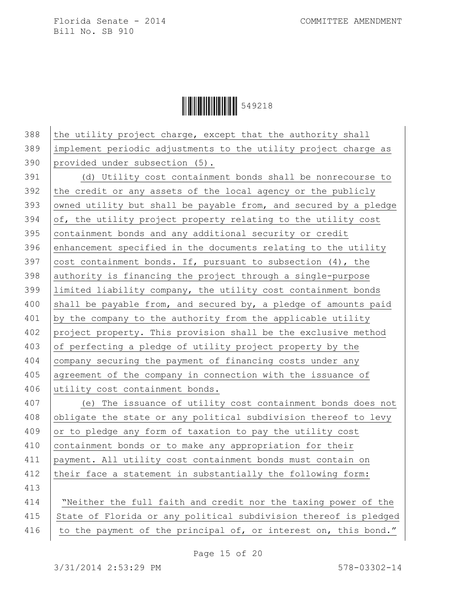Ì549218:Î549218

 the utility project charge, except that the authority shall implement periodic adjustments to the utility project charge as provided under subsection (5). (d) Utility cost containment bonds shall be nonrecourse to the credit or any assets of the local agency or the publicly owned utility but shall be payable from, and secured by a pledge of, the utility project property relating to the utility cost containment bonds and any additional security or credit 396 enhancement specified in the documents relating to the utility  $\vert$  cost containment bonds. If, pursuant to subsection (4), the authority is financing the project through a single-purpose limited liability company, the utility cost containment bonds 400 shall be payable from, and secured by, a pledge of amounts paid by the company to the authority from the applicable utility 402 project property. This provision shall be the exclusive method of perfecting a pledge of utility project property by the company securing the payment of financing costs under any agreement of the company in connection with the issuance of 406 utility cost containment bonds. (e) The issuance of utility cost containment bonds does not 408 obligate the state or any political subdivision thereof to levy or to pledge any form of taxation to pay the utility cost 410 containment bonds or to make any appropriation for their payment. All utility cost containment bonds must contain on 412 their face a statement in substantially the following form: 413 "Neither the full faith and credit nor the taxing power of the 415 State of Florida or any political subdivision thereof is pledged 416 | to the payment of the principal of, or interest on, this bond."

Page 15 of 20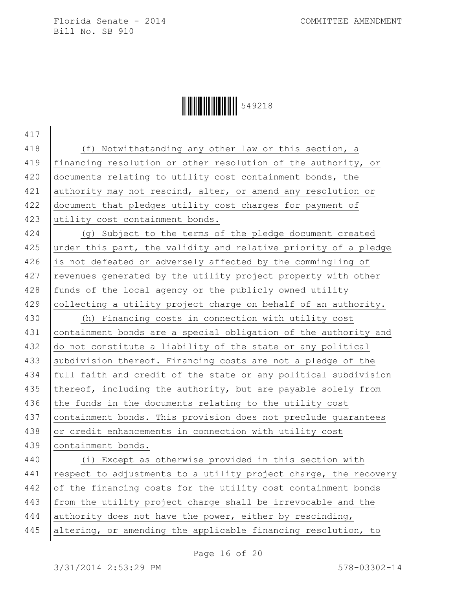## Ì549218:Î549218

417 418 (f) Notwithstanding any other law or this section, a 419 financing resolution or other resolution of the authority, or 420 documents relating to utility cost containment bonds, the 421 authority may not rescind, alter, or amend any resolution or 422 document that pledges utility cost charges for payment of 423 utility cost containment bonds. 424 (g) Subject to the terms of the pledge document created 425 under this part, the validity and relative priority of a pledge 426 is not defeated or adversely affected by the commingling of 427 revenues generated by the utility project property with other  $428$  funds of the local agency or the publicly owned utility  $429$  collecting a utility project charge on behalf of an authority. 430 (h) Financing costs in connection with utility cost 431 containment bonds are a special obligation of the authority and 432 do not constitute a liability of the state or any political 433 subdivision thereof. Financing costs are not a pledge of the 434 full faith and credit of the state or any political subdivision 435 thereof, including the authority, but are payable solely from  $436$  the funds in the documents relating to the utility cost 437 containment bonds. This provision does not preclude quarantees 438 or credit enhancements in connection with utility cost 439 containment bonds. 440 (i) Except as otherwise provided in this section with 441 respect to adjustments to a utility project charge, the recovery 442 of the financing costs for the utility cost containment bonds 443 from the utility project charge shall be irrevocable and the 444 authority does not have the power, either by rescinding, 445 altering, or amending the applicable financing resolution, to

Page 16 of 20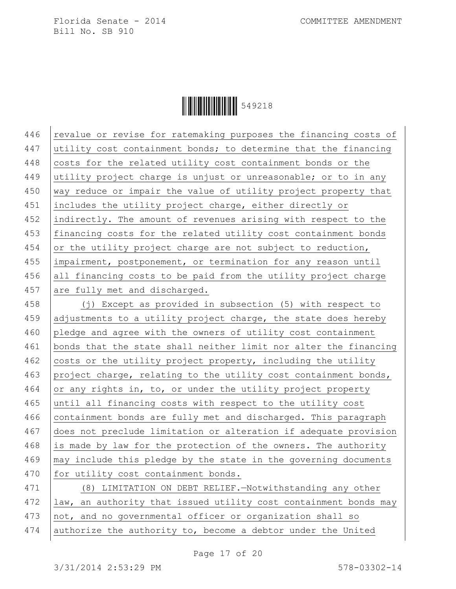**ÖHELLE III. 199218** 

446 revalue or revise for ratemaking purposes the financing costs of 447 utility cost containment bonds; to determine that the financing 448 costs for the related utility cost containment bonds or the 449 utility project charge is unjust or unreasonable; or to in any 450 way reduce or impair the value of utility project property that 451 includes the utility project charge, either directly or 452 indirectly. The amount of revenues arising with respect to the 453 financing costs for the related utility cost containment bonds 454 or the utility project charge are not subject to reduction, 455 impairment, postponement, or termination for any reason until 456 all financing costs to be paid from the utility project charge 457 are fully met and discharged. 458 (j) Except as provided in subsection (5) with respect to 459 adjustments to a utility project charge, the state does hereby 460 pledge and agree with the owners of utility cost containment 461 | bonds that the state shall neither limit nor alter the financing 462 costs or the utility project property, including the utility 463 project charge, relating to the utility cost containment bonds, 464 or any rights in, to, or under the utility project property 465 until all financing costs with respect to the utility cost 466 containment bonds are fully met and discharged. This paragraph 467 does not preclude limitation or alteration if adequate provision 468 is made by law for the protection of the owners. The authority 469 may include this pledge by the state in the governing documents 470 for utility cost containment bonds. 471 (8) LIMITATION ON DEBT RELIEF.—Notwithstanding any other 472 | law, an authority that issued utility cost containment bonds may 473 not, and no governmental officer or organization shall so

 $474$  authorize the authority to, become a debtor under the United

Page 17 of 20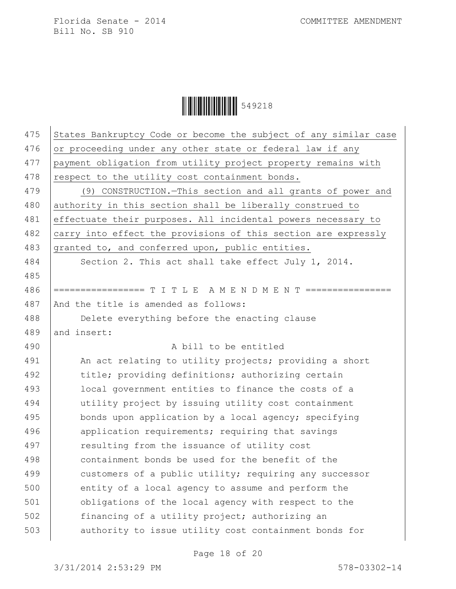Ì549218:Î549218

| 475 | States Bankruptcy Code or become the subject of any similar case |
|-----|------------------------------------------------------------------|
| 476 | or proceeding under any other state or federal law if any        |
| 477 | payment obligation from utility project property remains with    |
| 478 | respect to the utility cost containment bonds.                   |
| 479 | (9) CONSTRUCTION. - This section and all grants of power and     |
| 480 | authority in this section shall be liberally construed to        |
| 481 | effectuate their purposes. All incidental powers necessary to    |
| 482 | carry into effect the provisions of this section are expressly   |
| 483 | granted to, and conferred upon, public entities.                 |
| 484 | Section 2. This act shall take effect July 1, 2014.              |
| 485 |                                                                  |
| 486 | ================= T I T L E A M E N D M E N T ================   |
| 487 | And the title is amended as follows:                             |
| 488 | Delete everything before the enacting clause                     |
| 489 | and insert:                                                      |
| 490 | A bill to be entitled                                            |
| 491 | An act relating to utility projects; providing a short           |
| 492 | title; providing definitions; authorizing certain                |
| 493 | local government entities to finance the costs of a              |
| 494 | utility project by issuing utility cost containment              |
| 495 | bonds upon application by a local agency; specifying             |
| 496 | application requirements; requiring that savings                 |
| 497 | resulting from the issuance of utility cost                      |
| 498 | containment bonds be used for the benefit of the                 |
| 499 | customers of a public utility; requiring any successor           |
| 500 | entity of a local agency to assume and perform the               |
| 501 | obligations of the local agency with respect to the              |
| 502 | financing of a utility project; authorizing an                   |
| 503 | authority to issue utility cost containment bonds for            |
|     |                                                                  |

Page 18 of 20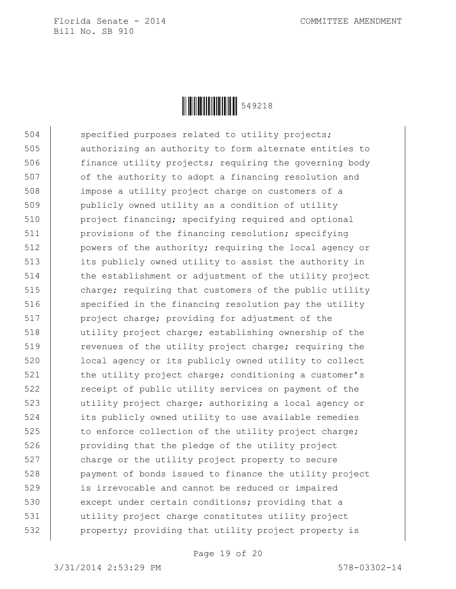

504 specified purposes related to utility projects; 505 authorizing an authority to form alternate entities to 506 finance utility projects; requiring the governing body 507 of the authority to adopt a financing resolution and 508 impose a utility project charge on customers of a 509 publicly owned utility as a condition of utility 510 project financing; specifying required and optional 511 provisions of the financing resolution; specifying 512 | powers of the authority; requiring the local agency or 513 its publicly owned utility to assist the authority in 514 the establishment or adjustment of the utility project 515 charge; requiring that customers of the public utility 516 specified in the financing resolution pay the utility 517 | project charge; providing for adjustment of the 518 utility project charge; establishing ownership of the 519 **revenues of the utility project charge; requiring the** 520 local agency or its publicly owned utility to collect 521 | the utility project charge; conditioning a customer's 522 **Fig.** receipt of public utility services on payment of the 523 utility project charge; authorizing a local agency or 524 its publicly owned utility to use available remedies 525 to enforce collection of the utility project charge; 526 **providing that the pledge of the utility project** 527 charge or the utility project property to secure 528 payment of bonds issued to finance the utility project 529 is irrevocable and cannot be reduced or impaired 530 except under certain conditions; providing that a 531 utility project charge constitutes utility project 532 property; providing that utility project property is